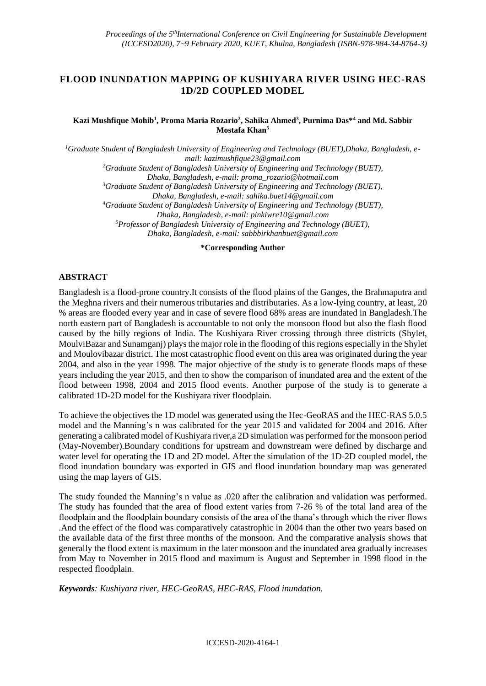## **FLOOD INUNDATION MAPPING OF KUSHIYARA RIVER USING HEC-RAS 1D/2D COUPLED MODEL**

### **Kazi Mushfique Mohib<sup>1</sup> , Proma Maria Rozario<sup>2</sup> , Sahika Ahmed<sup>3</sup> , Purnima Das\*<sup>4</sup> and Md. Sabbir Mostafa Khan<sup>5</sup>**

*1Graduate Student of Bangladesh University of Engineering and Technology (BUET),Dhaka, Bangladesh, email: kazimushfique23@gmail.com <sup>2</sup>Graduate Student of Bangladesh University of Engineering and Technology (BUET), Dhaka, Bangladesh, e-mail: proma\_rozario@hotmail.com <sup>3</sup>Graduate Student of Bangladesh University of Engineering and Technology (BUET), Dhaka, Bangladesh, e-mail: sahika.buet14@gmail.com <sup>4</sup>Graduate Student of Bangladesh University of Engineering and Technology (BUET), Dhaka, Bangladesh, e-mail: [pinkiwre10@gmail.com](mailto:pinkiwre10@gmail.com) <sup>5</sup>Professor of Bangladesh University of Engineering and Technology (BUET), Dhaka, Bangladesh, e-mail: sabbbirkhanbuet@gmail.com*

#### **\*Corresponding Author**

## **ABSTRACT**

Bangladesh is a flood-prone country.It consists of the flood plains of the Ganges, the Brahmaputra and the Meghna rivers and their numerous tributaries and distributaries. As a low-lying country, at least, 20 % areas are flooded every year and in case of severe flood 68% areas are inundated in Bangladesh.The north eastern part of Bangladesh is accountable to not only the monsoon flood but also the flash flood caused by the hilly regions of India. The Kushiyara River crossing through three districts (Shylet, MoulviBazar and Sunamganj) plays the major role in the flooding of this regions especially in the Shylet and Moulovibazar district. The most catastrophic flood event on this area was originated during the year 2004, and also in the year 1998. The major objective of the study is to generate floods maps of these years including the year 2015, and then to show the comparison of inundated area and the extent of the flood between 1998, 2004 and 2015 flood events. Another purpose of the study is to generate a calibrated 1D-2D model for the Kushiyara river floodplain.

To achieve the objectives the 1D model was generated using the Hec-GeoRAS and the HEC-RAS 5.0.5 model and the Manning's n was calibrated for the year 2015 and validated for 2004 and 2016. After generating a calibrated model of Kushiyara river,a 2D simulation was performed for the monsoon period (May-November).Boundary conditions for upstream and downstream were defined by discharge and water level for operating the 1D and 2D model. After the simulation of the 1D-2D coupled model, the flood inundation boundary was exported in GIS and flood inundation boundary map was generated using the map layers of GIS.

The study founded the Manning's n value as .020 after the calibration and validation was performed. The study has founded that the area of flood extent varies from 7-26 % of the total land area of the floodplain and the floodplain boundary consists of the area of the thana's through which the river flows .And the effect of the flood was comparatively catastrophic in 2004 than the other two years based on the available data of the first three months of the monsoon. And the comparative analysis shows that generally the flood extent is maximum in the later monsoon and the inundated area gradually increases from May to November in 2015 flood and maximum is August and September in 1998 flood in the respected floodplain.

*Keywords: Kushiyara river, HEC-GeoRAS, HEC-RAS, Flood inundation.*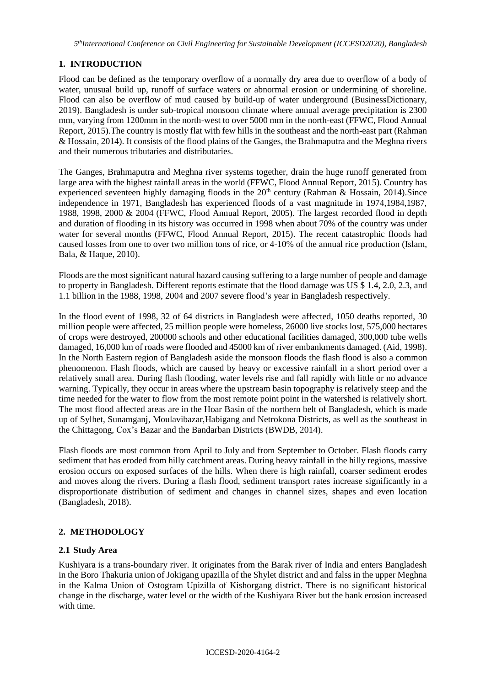## **1. INTRODUCTION**

Flood can be defined as the temporary overflow of a normally dry area due to overflow of a body of water, unusual build up, runoff of surface waters or abnormal erosion or undermining of shoreline. Flood can also be overflow of mud caused by build-up of water underground (BusinessDictionary, 2019). Bangladesh is under sub-tropical monsoon climate where annual average precipitation is 2300 mm, varying from 1200mm in the north-west to over 5000 mm in the north-east (FFWC, Flood Annual Report, 2015).The country is mostly flat with few hills in the southeast and the north-east part (Rahman & Hossain, 2014). It consists of the flood plains of the Ganges, the Brahmaputra and the Meghna rivers and their numerous tributaries and distributaries.

The Ganges, Brahmaputra and Meghna river systems together, drain the huge runoff generated from large area with the highest rainfall areas in the world (FFWC, Flood Annual Report, 2015). Country has experienced seventeen highly damaging floods in the  $20<sup>th</sup>$  century (Rahman & Hossain, 2014). Since independence in 1971, Bangladesh has experienced floods of a vast magnitude in 1974,1984,1987, 1988, 1998, 2000 & 2004 (FFWC, Flood Annual Report, 2005). The largest recorded flood in depth and duration of flooding in its history was occurred in 1998 when about 70% of the country was under water for several months (FFWC, Flood Annual Report, 2015). The recent catastrophic floods had caused losses from one to over two million tons of rice, or 4-10% of the annual rice production (Islam, Bala, & Haque, 2010).

Floods are the most significant natural hazard causing suffering to a large number of people and damage to property in Bangladesh. Different reports estimate that the flood damage was US \$ 1.4, 2.0, 2.3, and 1.1 billion in the 1988, 1998, 2004 and 2007 severe flood's year in Bangladesh respectively.

In the flood event of 1998, 32 of 64 districts in Bangladesh were affected, 1050 deaths reported, 30 million people were affected, 25 million people were homeless, 26000 live stocks lost, 575,000 hectares of crops were destroyed, 200000 schools and other educational facilities damaged, 300,000 tube wells damaged, 16,000 km of roads were flooded and 45000 km of river embankments damaged. (Aid, 1998). In the North Eastern region of Bangladesh aside the monsoon floods the flash flood is also a common phenomenon. Flash floods, which are caused by heavy or excessive rainfall in a short period over a relatively small area. During flash flooding, water levels rise and fall rapidly with little or no advance warning. Typically, they occur in areas where the upstream basin topography is relatively steep and the time needed for the water to flow from the most remote point point in the watershed is relatively short. The most flood affected areas are in the Hoar Basin of the northern belt of Bangladesh, which is made up of Sylhet, Sunamganj, Moulavibazar,Habigang and Netrokona Districts, as well as the southeast in the Chittagong, Cox's Bazar and the Bandarban Districts (BWDB, 2014).

Flash floods are most common from April to July and from September to October. Flash floods carry sediment that has eroded from hilly catchment areas. During heavy rainfall in the hilly regions, massive erosion occurs on exposed surfaces of the hills. When there is high rainfall, coarser sediment erodes and moves along the rivers. During a flash flood, sediment transport rates increase significantly in a disproportionate distribution of sediment and changes in channel sizes, shapes and even location (Bangladesh, 2018).

## **2. METHODOLOGY**

## **2.1 Study Area**

Kushiyara is a trans-boundary river. It originates from the Barak river of India and enters Bangladesh in the Boro Thakuria union of Jokigang upazilla of the Shylet district and and falss in the upper Meghna in the Kalma Union of Ostogram Upizilla of Kishorgang district. There is no significant historical change in the discharge, water level or the width of the Kushiyara River but the bank erosion increased with time.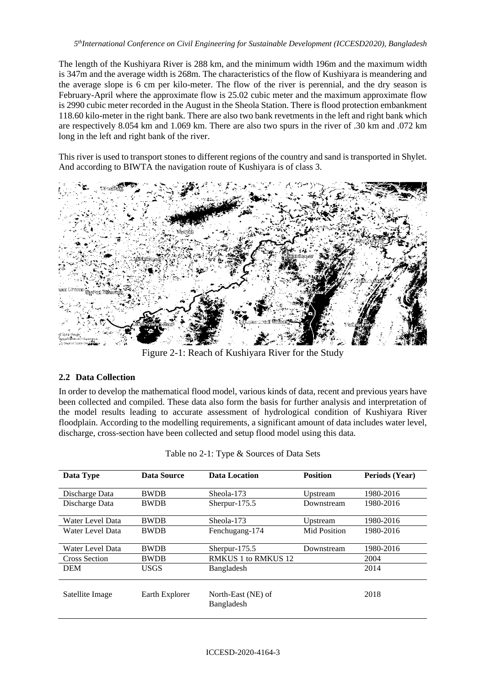The length of the Kushiyara River is 288 km, and the minimum width 196m and the maximum width is 347m and the average width is 268m. The characteristics of the flow of Kushiyara is meandering and the average slope is 6 cm per kilo-meter. The flow of the river is perennial, and the dry season is February-April where the approximate flow is 25.02 cubic meter and the maximum approximate flow is 2990 cubic meter recorded in the August in the Sheola Station. There is flood protection embankment 118.60 kilo-meter in the right bank. There are also two bank revetments in the left and right bank which are respectively 8.054 km and 1.069 km. There are also two spurs in the river of .30 km and .072 km long in the left and right bank of the river.

This river is used to transport stones to different regions of the country and sand is transported in Shylet. And according to BIWTA the navigation route of Kushiyara is of class 3.



Figure 2-1: Reach of Kushiyara River for the Study

## **2.2 Data Collection**

In order to develop the mathematical flood model, various kinds of data, recent and previous years have been collected and compiled. These data also form the basis for further analysis and interpretation of the model results leading to accurate assessment of hydrological condition of Kushiyara River floodplain. According to the modelling requirements, a significant amount of data includes water level, discharge, cross-section have been collected and setup flood model using this data.

| Data Type            | Data Source    | <b>Position</b><br>Data Location |              | Periods (Year) |  |
|----------------------|----------------|----------------------------------|--------------|----------------|--|
| Discharge Data       | <b>BWDB</b>    | Sheola-173                       | Upstream     | 1980-2016      |  |
| Discharge Data       | <b>BWDB</b>    | Sherpur- $175.5$                 | Downstream   | 1980-2016      |  |
| Water Level Data     | <b>BWDB</b>    | Sheola-173                       | Upstream     | 1980-2016      |  |
| Water Level Data     | <b>BWDB</b>    | Fenchugang-174                   | Mid Position | 1980-2016      |  |
| Water Level Data     | <b>BWDB</b>    | Sherpur- $175.5$                 | Downstream   | 1980-2016      |  |
| <b>Cross Section</b> | <b>BWDB</b>    | <b>RMKUS 1 to RMKUS 12</b>       |              | 2004           |  |
| <b>DEM</b>           | <b>USGS</b>    | Bangladesh                       |              | 2014           |  |
| Satellite Image      | Earth Explorer | North-East (NE) of<br>Bangladesh |              | 2018           |  |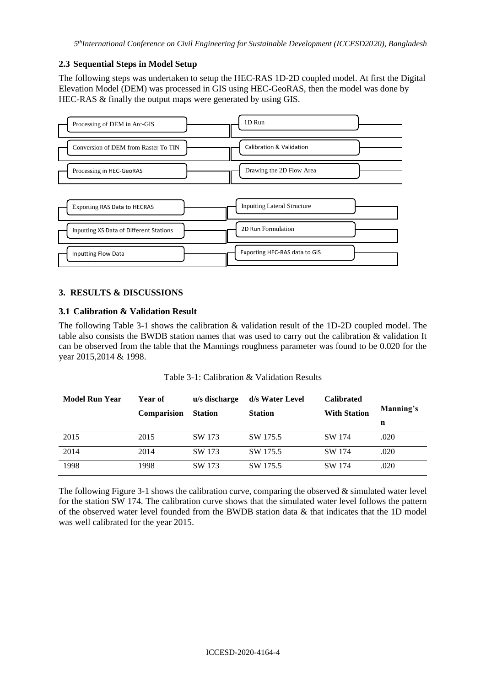## **2.3 Sequential Steps in Model Setup**

The following steps was undertaken to setup the HEC-RAS 1D-2D coupled model. At first the Digital Elevation Model (DEM) was processed in GIS using HEC-GeoRAS, then the model was done by HEC-RAS & finally the output maps were generated by using GIS.



## **3. RESULTS & DISCUSSIONS**

## **3.1 Calibration & Validation Result**

The following Table 3-1 shows the calibration & validation result of the 1D-2D coupled model. The table also consists the BWDB station names that was used to carry out the calibration & validation It can be observed from the table that the Mannings roughness parameter was found to be 0.020 for the year 2015,2014 & 1998.

| Table 3-1: Calibration & Validation Results |
|---------------------------------------------|
|---------------------------------------------|

| <b>Model Run Year</b> | Year of<br><b>Comparision</b> | u/s discharge<br><b>Station</b> | d/s Water Level<br><b>Station</b> | <b>Calibrated</b><br><b>With Station</b> | Manning's<br>n |
|-----------------------|-------------------------------|---------------------------------|-----------------------------------|------------------------------------------|----------------|
| 2015                  | 2015                          | SW 173                          | SW 175.5                          | SW 174                                   | .020           |
| 2014                  | 2014                          | SW 173                          | SW 175.5                          | SW 174                                   | .020           |
| 1998                  | 1998                          | SW 173                          | SW 175.5                          | SW 174                                   | .020           |

The following Figure 3-1 shows the calibration curve, comparing the observed & simulated water level for the station SW 174. The calibration curve shows that the simulated water level follows the pattern of the observed water level founded from the BWDB station data & that indicates that the 1D model was well calibrated for the year 2015.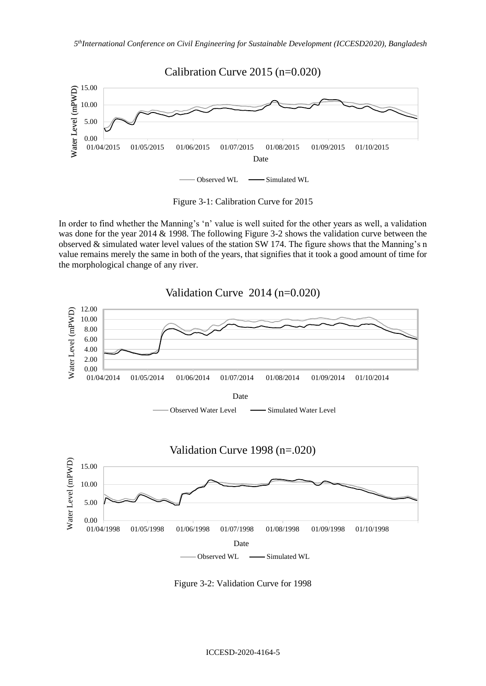

|  | Figure 3-1: Calibration Curve for 2015 |  |  |  |
|--|----------------------------------------|--|--|--|
|--|----------------------------------------|--|--|--|

In order to find whether the Manning's 'n' value is well suited for the other years as well, a validation was done for the year 2014 & 1998. The following Figure 3-2 shows the validation curve between the observed  $\&$  simulated water level values of the station SW 174. The figure shows that the Manning's n value remains merely the same in both of the years, that signifies that it took a good amount of time for the morphological change of any river.



Figure 3-2: Validation Curve for 1998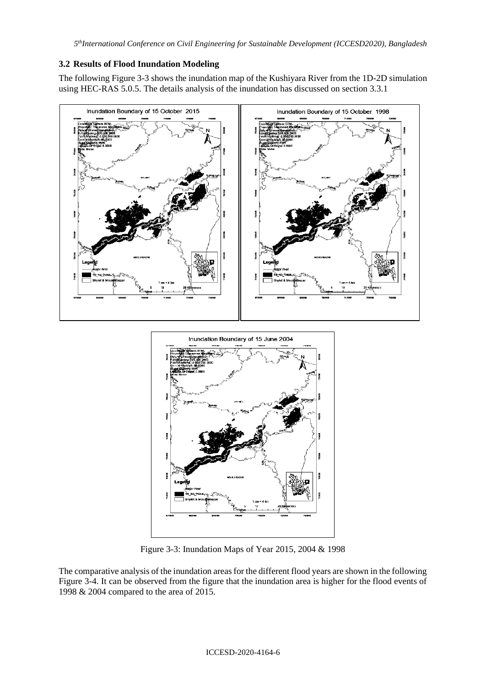## **3.2 Results of Flood Inundation Modeling**

The following Figure 3-3 shows the inundation map of the Kushiyara River from the 1D-2D simulation using HEC-RAS 5.0.5. The details analysis of the inundation has discussed on section [3.3.1](#page-8-0)



Figure 3-3: Inundation Maps of Year 2015, 2004 & 1998

The comparative analysis of the inundation areas for the different flood years are shown in the following Figure 3-4. It can be observed from the figure that the inundation area is higher for the flood events of 1998 & 2004 compared to the area of 2015.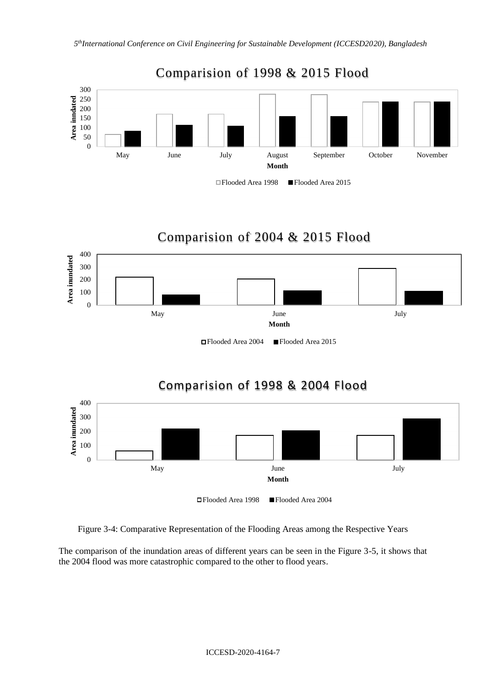

#### Flooded Area 1998 Flooded Area 2015

# Comparision of 2004 & 2015 Flood



Flooded Area 2004 Flooded Area 2015

# Comparision of 1998 & 2004 Flood



Figure 3-4: Comparative Representation of the Flooding Areas among the Respective Years

The comparison of the inundation areas of different years can be seen in the Figure 3-5, it shows that the 2004 flood was more catastrophic compared to the other to flood years.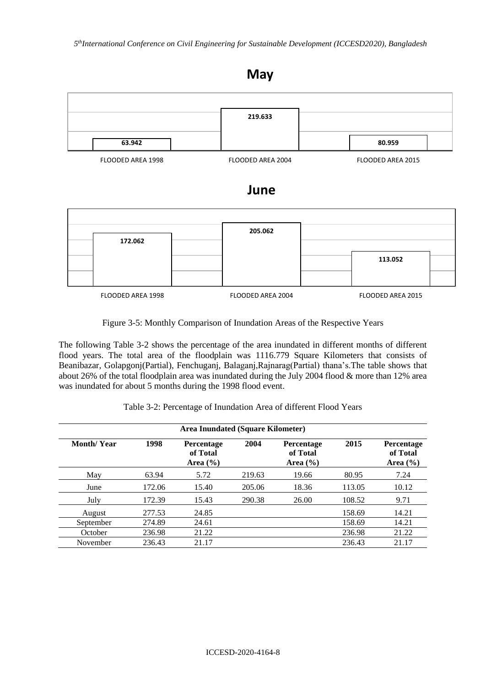## **May**



## **June**

|                   | 205.062           |                   |  |
|-------------------|-------------------|-------------------|--|
| 172.062           |                   |                   |  |
|                   |                   | 113.052           |  |
|                   |                   |                   |  |
|                   |                   |                   |  |
| FLOODED AREA 1998 | FLOODED AREA 2004 | FLOODED AREA 2015 |  |

Figure 3-5: Monthly Comparison of Inundation Areas of the Respective Years

The following Table 3-2 shows the percentage of the area inundated in different months of different flood years. The total area of the floodplain was 1116.779 Square Kilometers that consists of Beanibazar, Golapgonj(Partial), Fenchuganj, Balaganj,Rajnarag(Partial) thana's.The table shows that about 26% of the total floodplain area was inundated during the July 2004 flood & more than 12% area was inundated for about 5 months during the 1998 flood event.

|  |  | Table 3-2: Percentage of Inundation Area of different Flood Years |  |
|--|--|-------------------------------------------------------------------|--|
|--|--|-------------------------------------------------------------------|--|

| <b>Area Inundated (Square Kilometer)</b> |        |                                        |        |                                        |        |                                        |
|------------------------------------------|--------|----------------------------------------|--------|----------------------------------------|--------|----------------------------------------|
| <b>Month/Year</b>                        | 1998   | Percentage<br>of Total<br>Area $(\% )$ | 2004   | Percentage<br>of Total<br>Area $(\% )$ | 2015   | Percentage<br>of Total<br>Area $(\% )$ |
| May                                      | 63.94  | 5.72                                   | 219.63 | 19.66                                  | 80.95  | 7.24                                   |
| June                                     | 172.06 | 15.40                                  | 205.06 | 18.36                                  | 113.05 | 10.12                                  |
| July                                     | 172.39 | 15.43                                  | 290.38 | 26.00                                  | 108.52 | 9.71                                   |
| August                                   | 277.53 | 24.85                                  |        |                                        | 158.69 | 14.21                                  |
| September                                | 274.89 | 24.61                                  |        |                                        | 158.69 | 14.21                                  |
| October                                  | 236.98 | 21.22                                  |        |                                        | 236.98 | 21.22                                  |
| November                                 | 236.43 | 21.17                                  |        |                                        | 236.43 | 21.17                                  |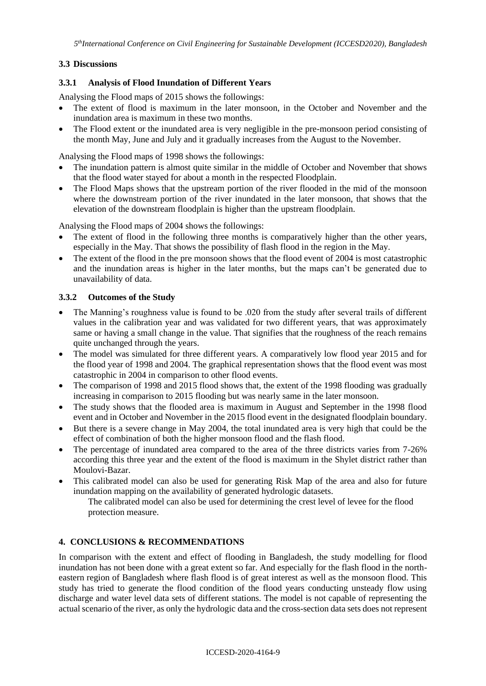## **3.3 Discussions**

## <span id="page-8-0"></span>**3.3.1 Analysis of Flood Inundation of Different Years**

Analysing the Flood maps of 2015 shows the followings:

- The extent of flood is maximum in the later monsoon, in the October and November and the inundation area is maximum in these two months.
- The Flood extent or the inundated area is very negligible in the pre-monsoon period consisting of the month May, June and July and it gradually increases from the August to the November.

Analysing the Flood maps of 1998 shows the followings:

- The inundation pattern is almost quite similar in the middle of October and November that shows that the flood water stayed for about a month in the respected Floodplain.
- The Flood Maps shows that the upstream portion of the river flooded in the mid of the monsoon where the downstream portion of the river inundated in the later monsoon, that shows that the elevation of the downstream floodplain is higher than the upstream floodplain.

Analysing the Flood maps of 2004 shows the followings:

- The extent of flood in the following three months is comparatively higher than the other years, especially in the May. That shows the possibility of flash flood in the region in the May.
- The extent of the flood in the pre monsoon shows that the flood event of 2004 is most catastrophic and the inundation areas is higher in the later months, but the maps can't be generated due to unavailability of data.

## **3.3.2 Outcomes of the Study**

- The Manning's roughness value is found to be .020 from the study after several trails of different values in the calibration year and was validated for two different years, that was approximately same or having a small change in the value. That signifies that the roughness of the reach remains quite unchanged through the years.
- The model was simulated for three different years. A comparatively low flood year 2015 and for the flood year of 1998 and 2004. The graphical representation shows that the flood event was most catastrophic in 2004 in comparison to other flood events.
- The comparison of 1998 and 2015 flood shows that, the extent of the 1998 flooding was gradually increasing in comparison to 2015 flooding but was nearly same in the later monsoon.
- The study shows that the flooded area is maximum in August and September in the 1998 flood event and in October and November in the 2015 flood event in the designated floodplain boundary.
- But there is a severe change in May 2004, the total inundated area is very high that could be the effect of combination of both the higher monsoon flood and the flash flood.
- The percentage of inundated area compared to the area of the three districts varies from 7-26% according this three year and the extent of the flood is maximum in the Shylet district rather than Moulovi-Bazar.
- This calibrated model can also be used for generating Risk Map of the area and also for future inundation mapping on the availability of generated hydrologic datasets.

The calibrated model can also be used for determining the crest level of levee for the flood protection measure.

## **4. CONCLUSIONS & RECOMMENDATIONS**

In comparison with the extent and effect of flooding in Bangladesh, the study modelling for flood inundation has not been done with a great extent so far. And especially for the flash flood in the northeastern region of Bangladesh where flash flood is of great interest as well as the monsoon flood. This study has tried to generate the flood condition of the flood years conducting unsteady flow using discharge and water level data sets of different stations. The model is not capable of representing the actual scenario of the river, as only the hydrologic data and the cross-section data sets does not represent